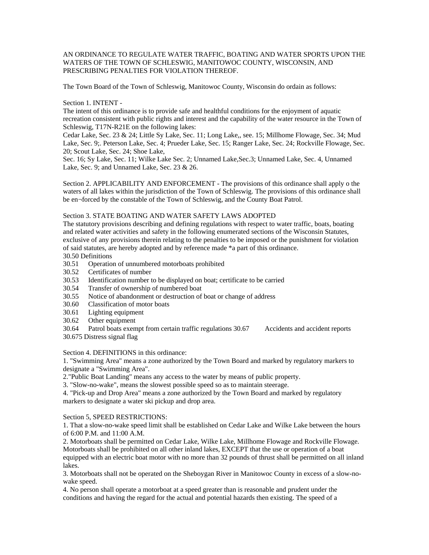# AN ORDINANCE TO REGULATE WATER TRAFFIC, BOATING AND WATER SPORTS UPON THE WATERS OF THE TOWN OF SCHLESWIG, MANITOWOC COUNTY, WISCONSIN, AND PRESCRIBING PENALTIES FOR VIOLATION THEREOF.

The Town Board of the Town of Schleswig, Manitowoc County, Wisconsin do ordain as follows:

# Section 1. INTENT -

The intent of this ordinance is to provide safe and healthful conditions for the enjoyment of aquatic recreation consistent with public rights and interest and the capability of the water resource in the Town of Schleswig, T17N-R21E on the following lakes:

Cedar Lake, Sec. 23 & 24; Little Sy Lake, Sec. 11; Long Lake,, see. 15; Millhome Flowage, Sec. 34; Mud Lake, Sec. 9;. Peterson Lake, Sec. 4; Prueder Lake, Sec. 15; Ranger Lake, Sec. 24; Rockville Flowage, Sec. 20; Scout Lake, Sec. 24; Shoe Lake,

Sec. 16; Sy Lake, Sec. 11; Wilke Lake Sec. 2; Unnamed Lake,Sec.3; Unnamed Lake, Sec. 4, Unnamed Lake, Sec. 9; and Unnamed Lake, Sec. 23 & 26.

Section 2. APPLICABILITY AND ENFORCEMENT - The provisions of this ordinance shall apply o the waters of all lakes within the jurisdiction of the Town of Schleswig. The provisions of this ordinance shall be en¬forced by the constable of the Town of Schleswig, and the County Boat Patrol.

# Section 3. STATE BOATING AND WATER SAFETY LAWS ADOPTED

The statutory provisions describing and defining regulations with respect to water traffic, boats, boating and related water activities and safety in the following enumerated sections of the Wisconsin Statutes, exclusive of any provisions therein relating to the penalties to be imposed or the punishment for violation of said statutes, are hereby adopted and by reference made \*a part of this ordinance.

# 30.50 Definitions

- 30.51 Operation of unnumbered motorboats prohibited
- 30.52 Certificates of number
- 30.53 Identification number to be displayed on boat; certificate to be carried
- 30.54 Transfer of ownership of numbered boat
- 30.55 Notice of abandonment or destruction of boat or change of address
- 30.60 Classification of motor boats
- 30.61 Lighting equipment
- 30.62 Other equipment

30.64 Patrol boats exempt from certain traffic regulations 30.67 Accidents and accident reports 30.675 Distress signal flag

### Section 4. DEFINITIONS in this ordinance:

1. "Swimming Area" means a zone authorized by the Town Board and marked by regulatory markers to designate a "Swimming Area".

2."Public Boat Landing" means any access to the water by means of public property.

3. "Slow-no-wake", means the slowest possible speed so as to maintain steerage.

4. "Pick-up and Drop Area" means a zone authorized by the Town Board and marked by regulatory markers to designate a water ski pickup and drop area.

Section 5, SPEED RESTRICTIONS:

1. That a slow-no-wake speed limit shall be established on Cedar Lake and Wilke Lake between the hours of 6:00 P.M. and 11:00 A.M.

2. Motorboats shall be permitted on Cedar Lake, Wilke Lake, Millhome Flowage and Rockville Flowage. Motorboats shall be prohibited on all other inland lakes, EXCEPT that the use or operation of a boat equipped with an electric boat motor with no more than 32 pounds of thrust shall be permitted on all inland lakes.

3. Motorboats shall not be operated on the Sheboygan River in Manitowoc County in excess of a slow-nowake speed.

4. No person shall operate a motorboat at a speed greater than is reasonable and prudent under the conditions and having the regard for the actual and potential hazards then existing. The speed of a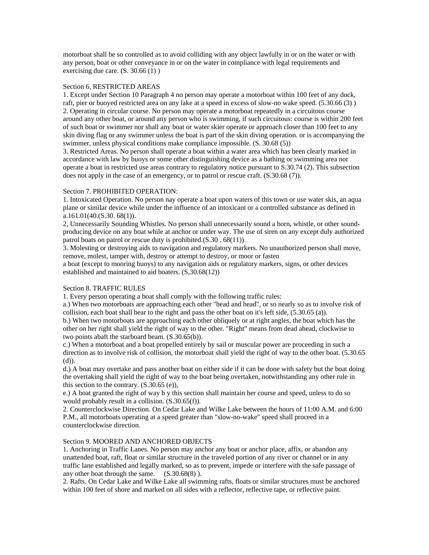motorboat shall be so controlled as to avoid colliding with any object lawfully in or on the water or with any person, boat or other conveyance in or on the water in compliance with legal requirements and exercising due care.  $(S. 30.66(1))$ 

# Section 6, RESTRICTED AREAS

1. Except under Section 10 Paragraph 4 no person may operate a motorboat within 100 feet of any dock, raft, pier or buoyed restricted area on any lake at a speed in excess of slow-no wake speed. (5.30.66 (3) ) 2. Operating in circular course. No person may operate a motorboat repeatedly in a circuitous course around any other boat, or around any person who is swimming, if such circuitous: course is within 200 feet of such boat or swimmer nor shall any boat or water skier operate or approach closer than 100 feet to any skin diving flag or any swimmer unless the boat is part of the skin diving operation. or is accompanying the swimmer, unless physical conditions make compliance impossible. (S. 30.68 (5))

3. Restricted Areas. No person shall operate a boat within a water area which has been clearly marked in accordance with law by buoys or some other distinguishing device as a bathing or swimming area nor operate a boat in restricted use areas contrary to regulatory notice pursuant to S.30.74 (2). This subsection does not apply in the case of an emergency, or to patrol or rescue craft. (S.30.68 (7)).

### Section 7. PROHIBITED OPERATION:

1. Intoxicated Operation. No person nay operate a boat upon waters of this town or use water skis, an aqua plane or similar device while under the influence of an intoxicant or a controlled substance as defined in a.161.01(40.(S.30. 68(1)).

2, Unnecessarily Sounding Whistles. No person shall unnecessarily sound a horn, whistle, or other soundproducing device on any boat while at anchor or under way. The use of siren on any except duly authorized patrol boats on patrol or rescue duty is prohibited.(S.30 . 68(11)).

3. Molesting or destroying aids to navigation and regulatory markers. No unauthorized person shall move, remove, molest, tamper with, destroy or attempt to destroy, or moor or fasten

a boat (except to mooring buoys) to any navigation aids or regulatory markers, signs, or other devices established and maintained to aid boaters. (S,30.68(12))

# Section 8. TRAFFIC RULES

1. Every person operating a boat shall comply with the following traffic rules:

a.) When two motorboats are approaching each other "head and head", or so nearly so as to involve risk of collision, each boat shall bear to the right and pass the other boat on it's left side, (5.30.65 (a)).

b.) When two motorboats are approaching each other obliquely or at right angles, the boat which has the other on her right shall yield the right of way to the other. "Right" means from dead ahead, clockwise to two points abaft the starboard beam. (S.30.65(b)).

c.) When a motorboat and a boat propelled entirely by sail or muscular power are proceeding in such a direction as to involve risk of collision, the motorboat shall yield the right of way to the other boat. (5.30.65) (d)).

d.) A boat may overtake and pass another boat on either side if it can be done with safety but the boat doing the overtaking shall yield the right of way to the boat being overtaken, notwithstanding any other rule in this section to the contrary.  $(S.30.65$  (e)),

e.) A boat granted the right of way b y this section shall maintain her course and speed, unless to do so would probably result in a collision. (S.30.65(f)).

2. Counterclockwise Direction. On Cedar Lake and Wilke Lake between the hours of 11:00 A.M. and 6:00 P.M., all motorboats operating at a speed greater than "slow-no-wake" speed shall proceed in a counterclockwise direction.

# Section 9. MOORED AND ANCHORED OBJECTS

1. Anchoring in Traffic Lanes. No person may anchor any boat or anchor place, affix, or abandon any unattended boat, raft, float or similar structure in the traveled portion of any river or channel or in any traffic lane established and legally marked, so as to prevent, impede or interfere with the safe passage of any other boat through the same. (S.30.68(8) ).

2. Rafts. On Cedar Lake and Wilke Lake all swimming rafts, floats or similar structures must be anchored within 100 feet of shore and marked on all sides with a reflector, reflective tape, or reflective paint.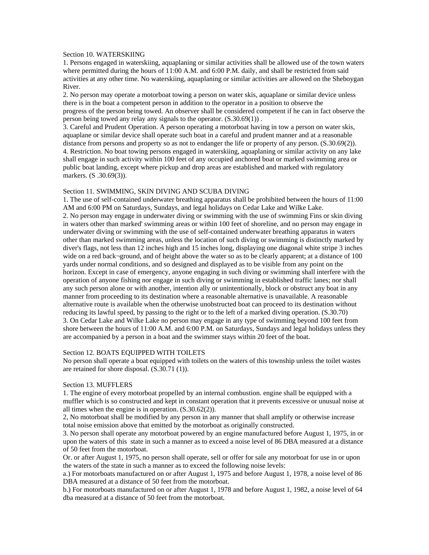# Section 10. WATERSKIING

1. Persons engaged in waterskiing, aquaplaning or similar activities shall be allowed use of the town waters where permitted during the hours of 11:00 A.M. and 6:00 P.M. daily, and shall be restricted from said activities at any other time. No waterskiing, aquaplaning or similar activities are allowed on the Sheboygan River.

2. No person may operate a motorboat towing a person on water skis, aquaplane or similar device unless there is in the boat a competent person in addition to the operator in a position to observe the progress of the person being towed. An observer shall be considered competent if he can in fact observe the person being towed any relay any signals to the operator. (S.30.69(1)) .

3. Careful and Prudent Operation. A person operating a motorboat having in tow a person on water skis, aquaplane or similar device shall operate such boat in a careful and prudent manner and at a reasonable distance from persons and property so as not to endanger the life or property of any person. (S.30.69(2)). 4. Restriction. No boat towing persons engaged in waterskiing, aquaplaning or similar activity on any lake shall engage in such activity within 100 feet of any occupied anchored boat or marked swimming area or public boat landing, except where pickup and drop areas are established and marked with regulatory markers. (S .30.69(3)).

### Section 11. SWIMMING, SKIN DIVING AND SCUBA DIVING

1. The use of self-contained underwater breathing apparatus shall be prohibited between the hours of 11:00 AM and 6:00 PM on Saturdays, Sundays, and legal holidays on Cedar Lake and Wilke Lake. 2. No person may engage in underwater diving or swimming with the use of swimming Fins or skin diving in waters other than marked' swimming areas or within 100 feet of shoreline, and no person may engage in underwater diving or swimming with the use of self-contained underwater breathing apparatus in waters other than marked swimming areas, unless the location of such diving or swimming is distinctly marked by diver's flags, not less than 12 inches high and 15 inches long, displaying one diagonal white stripe 3 inches wide on a red back-ground, and of height above the water so as to be clearly apparent; at a distance of 100 yards under normal conditions, and so designed and displayed as to be visible from any point on the horizon. Except in case of emergency, anyone engaging in such diving or swimming shall interfere with the operation of anyone fishing nor engage in such diving or swimming in established traffic lanes; nor shall any such person alone or with another, intention ally or unintentionally, block or obstruct any boat in any manner from proceeding to its destination where a reasonable alternative is unavailable. A reasonable alternative route is available when the otherwise unobstructed boat can proceed to its destination without reducing its lawful speed, by passing to the right or to the left of a marked diving operation. (S.30.70) 3. On Cedar Lake and Wilke Lake no person may engage in any type of swimming beyond 100 feet from shore between the hours of 11:00 A.M. and 6:00 P.M. on Saturdays, Sundays and legal holidays unless they are accompanied by a person in a boat and the swimmer stays within 20 feet of the boat.

## Section 12. BOATS EQUIPPED WITH TOILETS

No person shall operate a boat equipped with toilets on the waters of this township unless the toilet wastes are retained for shore disposal. (S.30.71 (1)).

### Section 13. MUFFLERS

1. The engine of every motorboat propelled by an internal combustion. engine shall be equipped with a muffler which is so constructed and kept in constant operation that it prevents excessive or unusual noise at all times when the engine is in operation. (S.30.62(2)).

2, No motorboat shall be modified by any person in any manner that shall amplify or otherwise increase total noise emission above that emitted by the motorboat as originally constructed.

3. No person shall operate any motorboat powered by an engine manufactured before August 1, 1975, in or upon the waters of this state in such a manner as to exceed a noise level of 86 DBA measured at a distance of 50 feet from the motorboat.

Or. or after August 1, 1975, no person shall operate, sell or offer for sale any motorboat for use in or upon the waters of the state in such a manner as to exceed the following noise levels:

a.) For motorboats manufactured on or after August 1, 1975 and before August 1, 1978, a noise level of 86 DBA measured at a distance of 50 feet from the motorboat.

b.) For motorboats manufactured on or after August 1, 1978 and before August 1, 1982, a noise level of 64 dba measured at a distance of 50 feet from the motorboat.